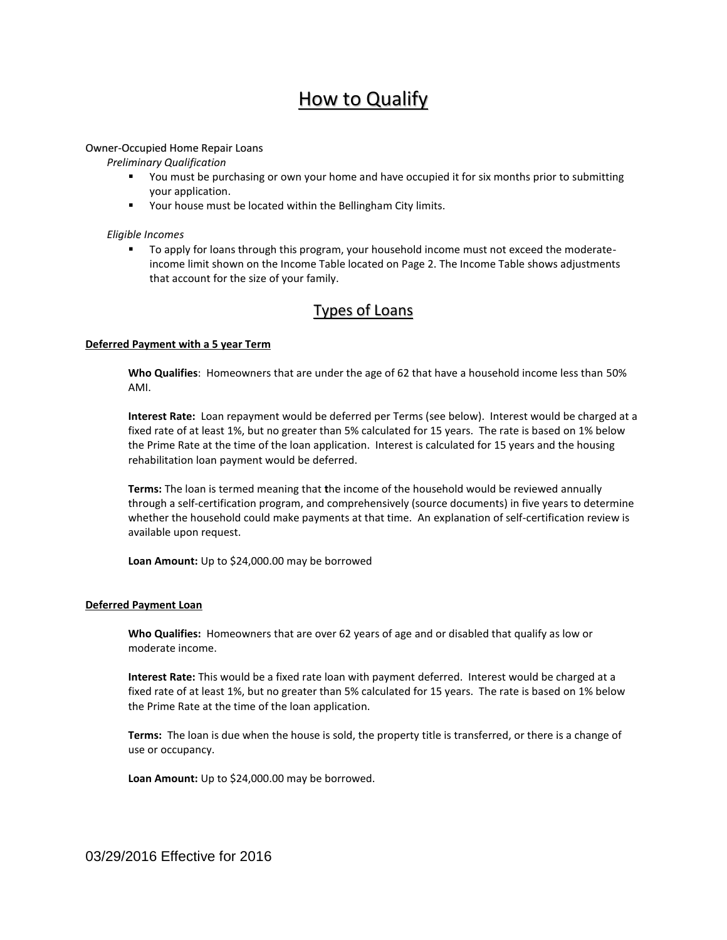# How to Qualify

#### Owner-Occupied Home Repair Loans

*Preliminary Qualification*

- You must be purchasing or own your home and have occupied it for six months prior to submitting your application.
- Your house must be located within the Bellingham City limits.

*Eligible Incomes*

 To apply for loans through this program, your household income must not exceed the moderateincome limit shown on the Income Table located on Page 2. The Income Table shows adjustments that account for the size of your family.

## Types of Loans

#### **Deferred Payment with a 5 year Term**

**Who Qualifies**: Homeowners that are under the age of 62 that have a household income less than 50% AMI.

**Interest Rate:** Loan repayment would be deferred per Terms (see below). Interest would be charged at a fixed rate of at least 1%, but no greater than 5% calculated for 15 years. The rate is based on 1% below the Prime Rate at the time of the loan application. Interest is calculated for 15 years and the housing rehabilitation loan payment would be deferred.

**Terms:** The loan is termed meaning that **t**he income of the household would be reviewed annually through a self-certification program, and comprehensively (source documents) in five years to determine whether the household could make payments at that time. An explanation of self-certification review is available upon request.

**Loan Amount:** Up to \$24,000.00 may be borrowed

#### **Deferred Payment Loan**

**Who Qualifies:** Homeowners that are over 62 years of age and or disabled that qualify as low or moderate income.

**Interest Rate:** This would be a fixed rate loan with payment deferred. Interest would be charged at a fixed rate of at least 1%, but no greater than 5% calculated for 15 years. The rate is based on 1% below the Prime Rate at the time of the loan application.

**Terms:** The loan is due when the house is sold, the property title is transferred, or there is a change of use or occupancy.

**Loan Amount:** Up to \$24,000.00 may be borrowed.

03/29/2016 Effective for 2016